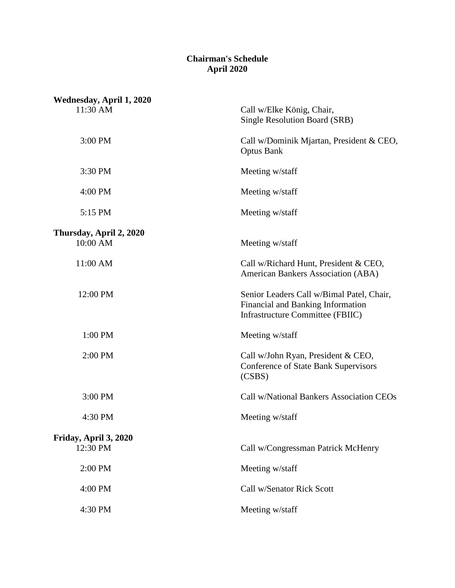## **Chairman's Schedule April 2020**

| Wednesday, April 1, 2020            |                                                                                                                           |
|-------------------------------------|---------------------------------------------------------------------------------------------------------------------------|
| 11:30 AM                            | Call w/Elke König, Chair,<br><b>Single Resolution Board (SRB)</b>                                                         |
| 3:00 PM                             | Call w/Dominik Mjartan, President & CEO,<br><b>Optus Bank</b>                                                             |
| 3:30 PM                             | Meeting w/staff                                                                                                           |
| 4:00 PM                             | Meeting w/staff                                                                                                           |
| 5:15 PM                             | Meeting w/staff                                                                                                           |
|                                     |                                                                                                                           |
| Thursday, April 2, 2020<br>10:00 AM | Meeting w/staff                                                                                                           |
| 11:00 AM                            | Call w/Richard Hunt, President & CEO,<br><b>American Bankers Association (ABA)</b>                                        |
| 12:00 PM                            | Senior Leaders Call w/Bimal Patel, Chair,<br>Financial and Banking Information<br><b>Infrastructure Committee (FBIIC)</b> |
| 1:00 PM                             | Meeting w/staff                                                                                                           |
| 2:00 PM                             | Call w/John Ryan, President & CEO,<br><b>Conference of State Bank Supervisors</b><br>(CSBS)                               |
| 3:00 PM                             | <b>Call w/National Bankers Association CEOs</b>                                                                           |
| 4:30 PM                             | Meeting w/staff                                                                                                           |
|                                     |                                                                                                                           |
| Friday, April 3, 2020<br>12:30 PM   | Call w/Congressman Patrick McHenry                                                                                        |
| 2:00 PM                             | Meeting w/staff                                                                                                           |
| 4:00 PM                             | Call w/Senator Rick Scott                                                                                                 |
| 4:30 PM                             | Meeting w/staff                                                                                                           |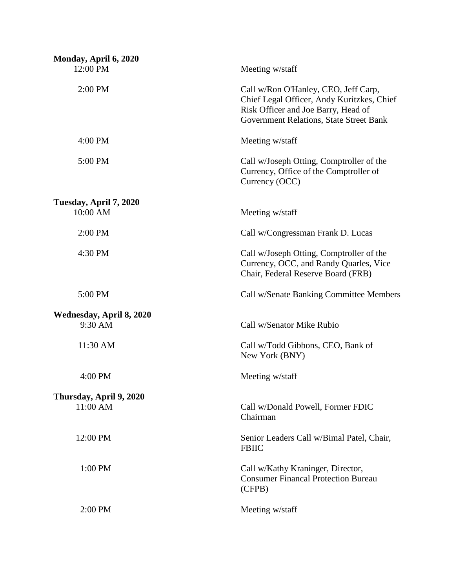| Monday, April 6, 2020               |                                                                                                                                                                      |
|-------------------------------------|----------------------------------------------------------------------------------------------------------------------------------------------------------------------|
| 12:00 PM                            | Meeting w/staff                                                                                                                                                      |
| 2:00 PM                             | Call w/Ron O'Hanley, CEO, Jeff Carp,<br>Chief Legal Officer, Andy Kuritzkes, Chief<br>Risk Officer and Joe Barry, Head of<br>Government Relations, State Street Bank |
| 4:00 PM                             | Meeting w/staff                                                                                                                                                      |
| 5:00 PM                             | Call w/Joseph Otting, Comptroller of the<br>Currency, Office of the Comptroller of<br>Currency (OCC)                                                                 |
| Tuesday, April 7, 2020<br>10:00 AM  | Meeting w/staff                                                                                                                                                      |
| 2:00 PM                             | Call w/Congressman Frank D. Lucas                                                                                                                                    |
| 4:30 PM                             | Call w/Joseph Otting, Comptroller of the<br>Currency, OCC, and Randy Quarles, Vice<br>Chair, Federal Reserve Board (FRB)                                             |
| 5:00 PM                             | Call w/Senate Banking Committee Members                                                                                                                              |
| Wednesday, April 8, 2020<br>9:30 AM | Call w/Senator Mike Rubio                                                                                                                                            |
| 11:30 AM                            | Call w/Todd Gibbons, CEO, Bank of<br>New York (BNY)                                                                                                                  |
| 4:00 PM                             | Meeting w/staff                                                                                                                                                      |
| Thursday, April 9, 2020<br>11:00 AM | Call w/Donald Powell, Former FDIC<br>Chairman                                                                                                                        |
| 12:00 PM                            | Senior Leaders Call w/Bimal Patel, Chair,<br><b>FBIIC</b>                                                                                                            |
| 1:00 PM                             | Call w/Kathy Kraninger, Director,<br><b>Consumer Financal Protection Bureau</b><br>(CFPB)                                                                            |
| 2:00 PM                             | Meeting w/staff                                                                                                                                                      |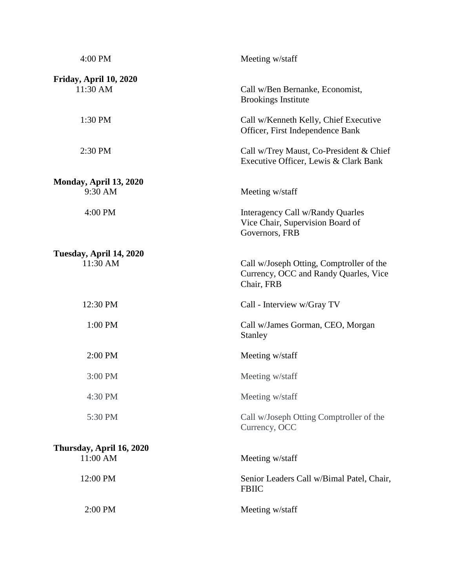| 4:00 PM                              | Meeting w/staff                                                                                 |
|--------------------------------------|-------------------------------------------------------------------------------------------------|
| Friday, April 10, 2020<br>11:30 AM   | Call w/Ben Bernanke, Economist,<br><b>Brookings Institute</b>                                   |
| 1:30 PM                              | Call w/Kenneth Kelly, Chief Executive<br>Officer, First Independence Bank                       |
| 2:30 PM                              | Call w/Trey Maust, Co-President & Chief<br>Executive Officer, Lewis & Clark Bank                |
| Monday, April 13, 2020               |                                                                                                 |
| 9:30 AM                              | Meeting w/staff                                                                                 |
| 4:00 PM                              | Interagency Call w/Randy Quarles<br>Vice Chair, Supervision Board of<br>Governors, FRB          |
| Tuesday, April 14, 2020<br>11:30 AM  | Call w/Joseph Otting, Comptroller of the<br>Currency, OCC and Randy Quarles, Vice<br>Chair, FRB |
| 12:30 PM                             | Call - Interview w/Gray TV                                                                      |
| 1:00 PM                              | Call w/James Gorman, CEO, Morgan<br>Stanley                                                     |
| 2:00 PM                              | Meeting w/staff                                                                                 |
| 3:00 PM                              | Meeting w/staff                                                                                 |
| 4:30 PM                              | Meeting w/staff                                                                                 |
| 5:30 PM                              | Call w/Joseph Otting Comptroller of the<br>Currency, OCC                                        |
| Thursday, April 16, 2020<br>11:00 AM | Meeting w/staff                                                                                 |
| 12:00 PM                             | Senior Leaders Call w/Bimal Patel, Chair,<br><b>FBIIC</b>                                       |
| 2:00 PM                              | Meeting w/staff                                                                                 |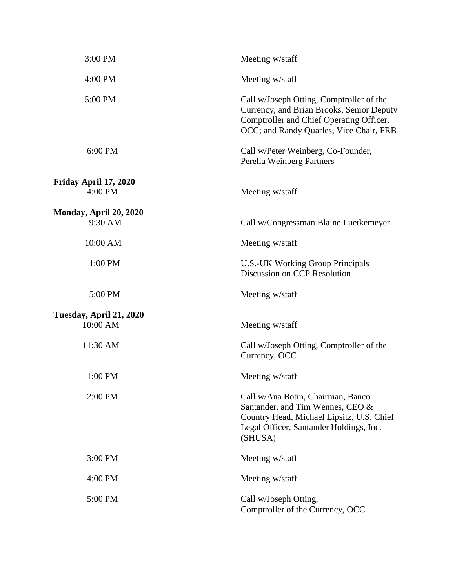| 3:00 PM                 | Meeting w/staff                                                                                                                                                              |
|-------------------------|------------------------------------------------------------------------------------------------------------------------------------------------------------------------------|
| 4:00 PM                 | Meeting w/staff                                                                                                                                                              |
| 5:00 PM                 | Call w/Joseph Otting, Comptroller of the<br>Currency, and Brian Brooks, Senior Deputy<br>Comptroller and Chief Operating Officer,<br>OCC; and Randy Quarles, Vice Chair, FRB |
| 6:00 PM                 | Call w/Peter Weinberg, Co-Founder,<br>Perella Weinberg Partners                                                                                                              |
| Friday April 17, 2020   |                                                                                                                                                                              |
| 4:00 PM                 | Meeting w/staff                                                                                                                                                              |
| Monday, April 20, 2020  |                                                                                                                                                                              |
| 9:30 AM                 | Call w/Congressman Blaine Luetkemeyer                                                                                                                                        |
| 10:00 AM                | Meeting w/staff                                                                                                                                                              |
| 1:00 PM                 | U.S.-UK Working Group Principals<br>Discussion on CCP Resolution                                                                                                             |
| 5:00 PM                 | Meeting w/staff                                                                                                                                                              |
| Tuesday, April 21, 2020 |                                                                                                                                                                              |
| 10:00 AM                | Meeting w/staff                                                                                                                                                              |
| 11:30 AM                | Call w/Joseph Otting, Comptroller of the<br>Currency, OCC                                                                                                                    |
| 1:00 PM                 | Meeting w/staff                                                                                                                                                              |
| 2:00 PM                 | Call w/Ana Botin, Chairman, Banco<br>Santander, and Tim Wennes, CEO &<br>Country Head, Michael Lipsitz, U.S. Chief<br>Legal Officer, Santander Holdings, Inc.<br>(SHUSA)     |
| 3:00 PM                 | Meeting w/staff                                                                                                                                                              |
| $4:00$ PM               | Meeting w/staff                                                                                                                                                              |
| 5:00 PM                 | Call w/Joseph Otting,<br>Comptroller of the Currency, OCC                                                                                                                    |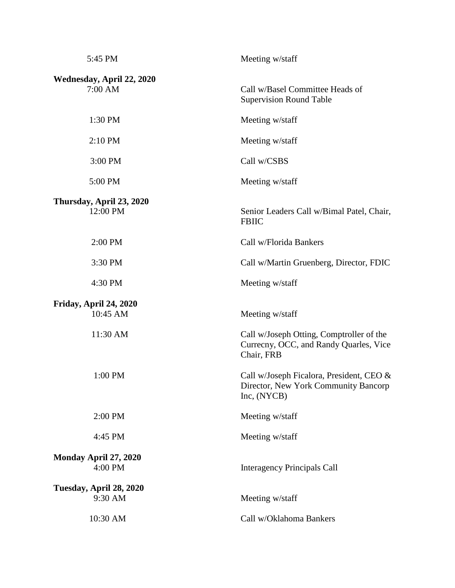| 5:45 PM                              | Meeting w/staff                                                                                  |
|--------------------------------------|--------------------------------------------------------------------------------------------------|
| Wednesday, April 22, 2020<br>7:00 AM | Call w/Basel Committee Heads of<br><b>Supervision Round Table</b>                                |
| 1:30 PM                              | Meeting w/staff                                                                                  |
| 2:10 PM                              | Meeting w/staff                                                                                  |
| 3:00 PM                              | Call w/CSBS                                                                                      |
| 5:00 PM                              | Meeting w/staff                                                                                  |
| Thursday, April 23, 2020<br>12:00 PM | Senior Leaders Call w/Bimal Patel, Chair,<br><b>FBIIC</b>                                        |
| 2:00 PM                              | Call w/Florida Bankers                                                                           |
| 3:30 PM                              | Call w/Martin Gruenberg, Director, FDIC                                                          |
| 4:30 PM                              | Meeting w/staff                                                                                  |
| Friday, April 24, 2020<br>10:45 AM   | Meeting w/staff                                                                                  |
| 11:30 AM                             | Call w/Joseph Otting, Comptroller of the<br>Currecny, OCC, and Randy Quarles, Vice<br>Chair, FRB |
| 1:00 PM                              | Call w/Joseph Ficalora, President, CEO &<br>Director, New York Community Bancorp<br>Inc, (NYCB)  |
| 2:00 PM                              | Meeting w/staff                                                                                  |
| 4:45 PM                              | Meeting w/staff                                                                                  |
| Monday April 27, 2020<br>4:00 PM     | <b>Interagency Principals Call</b>                                                               |
| Tuesday, April 28, 2020<br>9:30 AM   | Meeting w/staff                                                                                  |
| 10:30 AM                             | Call w/Oklahoma Bankers                                                                          |